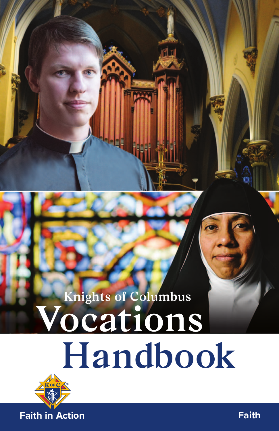# **Vocations Handbook Knights of Columbus**

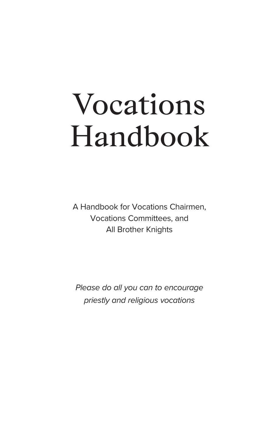# Vocations Handbook

A Handbook for Vocations Chairmen, Vocations Committees, and All Brother Knights

Please do all you can to encourage priestly and religious vocations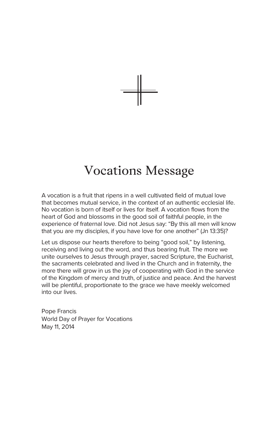

## Vocations Message

A vocation is a fruit that ripens in a well cultivated field of mutual love that becomes mutual service, in the context of an authentic ecclesial life. No vocation is born of itself or lives for itself. A vocation flows from the heart of God and blossoms in the good soil of faithful people, in the experience of fraternal love. Did not Jesus say: "By this all men will know that you are my disciples, if you have love for one another" (Jn 13:35)?

Let us dispose our hearts therefore to being "good soil," by listening. receiving and living out the word, and thus bearing fruit. The more we unite ourselves to Jesus through prayer, sacred Scripture, the Eucharist, the sacraments celebrated and lived in the Church and in fraternity, the more there will grow in us the joy of cooperating with God in the service of the Kingdom of mercy and truth, of justice and peace. And the harvest will be plentiful, proportionate to the grace we have meekly welcomed into our lives.

Pope Francis World Day of Prayer for Vocations May 11, 2014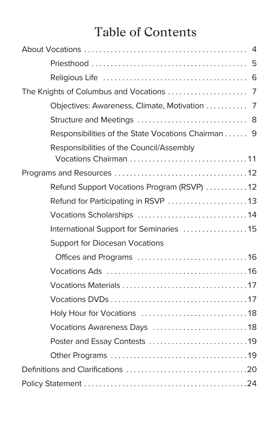## Table of Contents

| Objectives: Awareness, Climate, Motivation  7                     |  |
|-------------------------------------------------------------------|--|
|                                                                   |  |
| Responsibilities of the State Vocations Chairman 9                |  |
| Responsibilities of the Council/Assembly<br>Vocations Chairman 11 |  |
|                                                                   |  |
| Refund Support Vocations Program (RSVP) 12                        |  |
|                                                                   |  |
| Vocations Scholarships 14                                         |  |
| International Support for Seminaries 15                           |  |
| <b>Support for Diocesan Vocations</b>                             |  |
|                                                                   |  |
|                                                                   |  |
|                                                                   |  |
|                                                                   |  |
|                                                                   |  |
| Vocations Awareness Days 18                                       |  |
| Poster and Essay Contests 19                                      |  |
|                                                                   |  |
|                                                                   |  |
|                                                                   |  |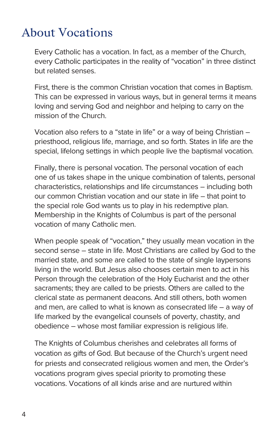### About Vocations

Every Catholic has a vocation. In fact, as a member of the Church, every Catholic participates in the reality of "vocation" in three distinct but related senses.

First, there is the common Christian vocation that comes in Baptism. This can be expressed in various ways, but in general terms it means loving and serving God and neighbor and helping to carry on the mission of the Church.

Vocation also refers to a "state in life" or a way of being Christian – priesthood, religious life, marriage, and so forth. States in life are the special, lifelong settings in which people live the baptismal vocation.

Finally, there is personal vocation. The personal vocation of each one of us takes shape in the unique combination of talents, personal characteristics, relationships and life circumstances – including both our common Christian vocation and our state in life – that point to the special role God wants us to play in his redemptive plan. Membership in the Knights of Columbus is part of the personal vocation of many Catholic men.

When people speak of "vocation," they usually mean vocation in the second sense – state in life. Most Christians are called by God to the married state, and some are called to the state of single laypersons living in the world. But Jesus also chooses certain men to act in his Person through the celebration of the Holy Eucharist and the other sacraments; they are called to be priests. Others are called to the clerical state as permanent deacons. And still others, both women and men, are called to what is known as consecrated life – a way of life marked by the evangelical counsels of poverty, chastity, and obedience – whose most familiar expression is religious life.

The Knights of Columbus cherishes and celebrates all forms of vocation as gifts of God. But because of the Church's urgent need for priests and consecrated religious women and men, the Order's vocations program gives special priority to promoting these vocations. Vocations of all kinds arise and are nurtured within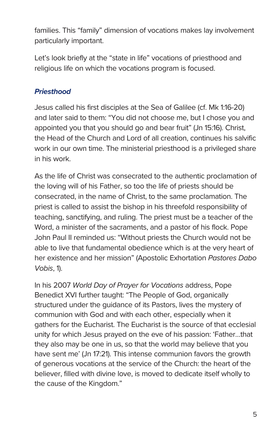families. This "family" dimension of vocations makes lay involvement particularly important.

Let's look briefly at the "state in life" vocations of priesthood and religious life on which the vocations program is focused.

#### **Priesthood**

Jesus called his first disciples at the Sea of Galilee (cf. Mk 1:16-20) and later said to them: "You did not choose me, but I chose you and appointed you that you should go and bear fruit" (Jn 15:16). Christ, the Head of the Church and Lord of all creation, continues his salvific work in our own time. The ministerial priesthood is a privileged share in his work.

As the life of Christ was consecrated to the authentic proclamation of the loving will of his Father, so too the life of priests should be consecrated, in the name of Christ, to the same proclamation. The priest is called to assist the bishop in his threefold responsibility of teaching, sanctifying, and ruling. The priest must be a teacher of the Word, a minister of the sacraments, and a pastor of his flock. Pope John Paul II reminded us: "Without priests the Church would not be able to live that fundamental obedience which is at the very heart of her existence and her mission" (Apostolic Exhortation Pastores Dabo Vobis, 1).

In his 2007 World Day of Prayer for Vocations address, Pope Benedict XVI further taught: "The People of God, organically structured under the guidance of its Pastors, lives the mystery of communion with God and with each other, especially when it gathers for the Eucharist. The Eucharist is the source of that ecclesial unity for which Jesus prayed on the eve of his passion: 'Father…that they also may be one in us, so that the world may believe that you have sent me' (Jn 17:21). This intense communion favors the growth of generous vocations at the service of the Church: the heart of the believer, filled with divine love, is moved to dedicate itself wholly to the cause of the Kingdom."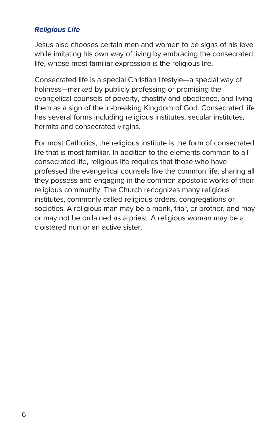#### **Religious Life**

Jesus also chooses certain men and women to be signs of his love while imitating his own way of living by embracing the consecrated life, whose most familiar expression is the religious life.

Consecrated life is a special Christian lifestyle—a special way of holiness—marked by publicly professing or promising the evangelical counsels of poverty, chastity and obedience, and living them as a sign of the in-breaking Kingdom of God. Consecrated life has several forms including religious institutes, secular institutes, hermits and consecrated virgins.

For most Catholics, the religious institute is the form of consecrated life that is most familiar. In addition to the elements common to all consecrated life, religious life requires that those who have professed the evangelical counsels live the common life, sharing all they possess and engaging in the common apostolic works of their religious community. The Church recognizes many religious institutes, commonly called religious orders, congregations or societies. A religious man may be a monk, friar, or brother, and may or may not be ordained as a priest. A religious woman may be a cloistered nun or an active sister.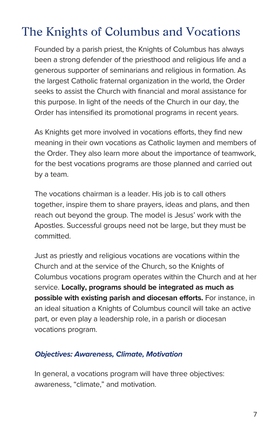## The Knights of Columbus and Vocations

Founded by a parish priest, the Knights of Columbus has always been a strong defender of the priesthood and religious life and a generous supporter of seminarians and religious in formation. As the largest Catholic fraternal organization in the world, the Order seeks to assist the Church with financial and moral assistance for this purpose. In light of the needs of the Church in our day, the Order has intensified its promotional programs in recent years.

As Knights get more involved in vocations efforts, they find new meaning in their own vocations as Catholic laymen and members of the Order. They also learn more about the importance of teamwork, for the best vocations programs are those planned and carried out by a team.

The vocations chairman is a leader. His job is to call others together, inspire them to share prayers, ideas and plans, and then reach out beyond the group. The model is Jesus' work with the Apostles. Successful groups need not be large, but they must be committed.

Just as priestly and religious vocations are vocations within the Church and at the service of the Church, so the Knights of Columbus vocations program operates within the Church and at her service. **Locally, programs should be integrated as much as possible with existing parish and diocesan efforts.** For instance, in an ideal situation a Knights of Columbus council will take an active part, or even play a leadership role, in a parish or diocesan vocations program.

#### **Objectives: Awareness, Climate, Motivation**

In general, a vocations program will have three objectives: awareness, "climate," and motivation.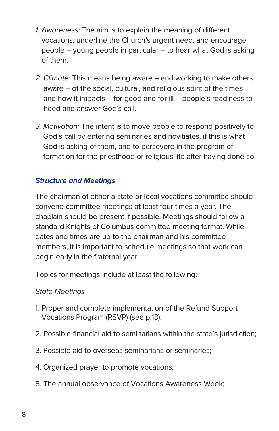- 1. Awareness: The aim is to explain the meaning of different vocations, underline the Church's urgent need, and encourage people – young people in particular – to hear what God is asking of them.
- 2. Climate: This means being aware and working to make others aware – of the social, cultural, and religious spirit of the times and how it impacts – for good and for ill – people's readiness to heed and answer God's call.
- 3. Motivation: The intent is to move people to respond positively to God's call by entering seminaries and novitiates, if this is what God is asking of them, and to persevere in the program of formation for the priesthood or religious life after having done so.

#### **Structure and Meetings**

The chairman of either a state or local vocations committee should convene committee meetings at least four times a year. The chaplain should be present if possible. Meetings should follow a standard Knights of Columbus committee meeting format. While dates and times are up to the chairman and his committee members, it is important to schedule meetings so that work can begin early in the fraternal year.

Topics for meetings include at least the following:

#### State Meetings

- 1. Proper and complete implementation of the Refund Support Vocations Program (RSVP) (see p.13);
- 2. Possible financial aid to seminarians within the state's jurisdiction;
- 3. Possible aid to overseas seminarians or seminaries;
- 4. Organized prayer to promote vocations;
- 5. The annual observance of Vocations Awareness Week;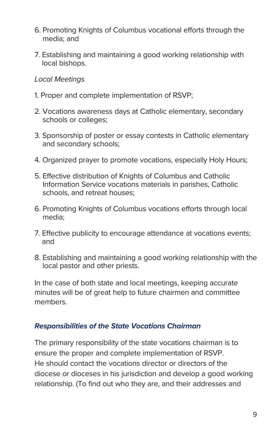- 6. Promoting Knights of Columbus vocational efforts through the media; and
- 7. Establishing and maintaining a good working relationship with local bishops.

#### Local Meetings

- 1. Proper and complete implementation of RSVP;
- 2. Vocations awareness days at Catholic elementary, secondary schools or colleges;
- 3. Sponsorship of poster or essay contests in Catholic elementary and secondary schools;
- 4. Organized prayer to promote vocations, especially Holy Hours;
- 5. Effective distribution of Knights of Columbus and Catholic Information Service vocations materials in parishes, Catholic schools, and retreat houses;
- 6. Promoting Knights of Columbus vocations efforts through local media;
- 7. Effective publicity to encourage attendance at vocations events; and
- 8. Establishing and maintaining a good working relationship with the local pastor and other priests.

In the case of both state and local meetings, keeping accurate minutes will be of great help to future chairmen and committee members.

#### **Responsibilities of the State Vocations Chairman**

The primary responsibility of the state vocations chairman is to ensure the proper and complete implementation of RSVP. He should contact the vocations director or directors of the diocese or dioceses in his jurisdiction and develop a good working relationship. (To find out who they are, and their addresses and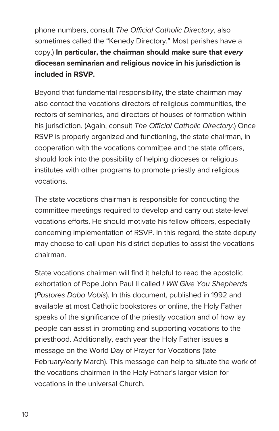phone numbers, consult The Official Catholic Directory, also sometimes called the "Kenedy Directory." Most parishes have a copy.) **In particular, the chairman should make sure that every diocesan seminarian and religious novice in his jurisdiction is included in RSVP.**

Beyond that fundamental responsibility, the state chairman may also contact the vocations directors of religious communities, the rectors of seminaries, and directors of houses of formation within his jurisdiction. (Again, consult The Official Catholic Directory.) Once RSVP is properly organized and functioning, the state chairman, in cooperation with the vocations committee and the state officers, should look into the possibility of helping dioceses or religious institutes with other programs to promote priestly and religious vocations.

The state vocations chairman is responsible for conducting the committee meetings required to develop and carry out state-level vocations efforts. He should motivate his fellow officers, especially concerning implementation of RSVP. In this regard, the state deputy may choose to call upon his district deputies to assist the vocations chairman.

State vocations chairmen will find it helpful to read the apostolic exhortation of Pope John Paul II called I Will Give You Shepherds (Pastores Dabo Vobis). In this document, published in 1992 and available at most Catholic bookstores or online, the Holy Father speaks of the significance of the priestly vocation and of how lay people can assist in promoting and supporting vocations to the priesthood. Additionally, each year the Holy Father issues a message on the World Day of Prayer for Vocations (late February/early March). This message can help to situate the work of the vocations chairmen in the Holy Father's larger vision for vocations in the universal Church.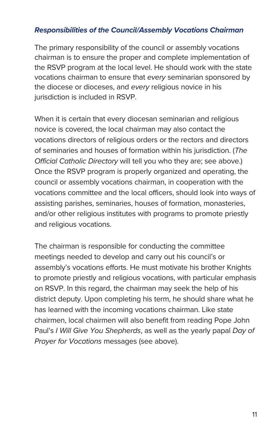#### **Responsibilities of the Council/Assembly Vocations Chairman**

The primary responsibility of the council or assembly vocations chairman is to ensure the proper and complete implementation of the RSVP program at the local level. He should work with the state vocations chairman to ensure that every seminarian sponsored by the diocese or dioceses, and every religious novice in his jurisdiction is included in RSVP.

When it is certain that every diocesan seminarian and religious novice is covered, the local chairman may also contact the vocations directors of religious orders or the rectors and directors of seminaries and houses of formation within his jurisdiction. (The Official Catholic Directory will tell you who they are; see above.) Once the RSVP program is properly organized and operating, the council or assembly vocations chairman, in cooperation with the vocations committee and the local officers, should look into ways of assisting parishes, seminaries, houses of formation, monasteries, and/or other religious institutes with programs to promote priestly and religious vocations.

The chairman is responsible for conducting the committee meetings needed to develop and carry out his council's or assembly's vocations efforts. He must motivate his brother Knights to promote priestly and religious vocations, with particular emphasis on RSVP. In this regard, the chairman may seek the help of his district deputy. Upon completing his term, he should share what he has learned with the incoming vocations chairman. Like state chairmen, local chairmen will also benefit from reading Pope John Paul's I Will Give You Shepherds, as well as the yearly papal Day of Prayer for Vocations messages (see above).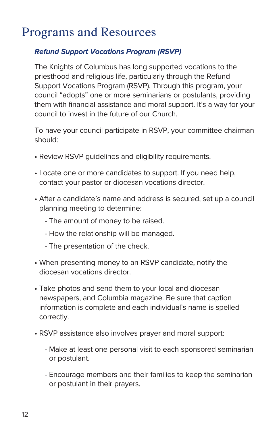### Programs and Resources

#### **Refund Support Vocations Program (RSVP)**

The Knights of Columbus has long supported vocations to the priesthood and religious life, particularly through the Refund Support Vocations Program (RSVP). Through this program, your council "adopts" one or more seminarians or postulants, providing them with financial assistance and moral support. It's a way for your council to invest in the future of our Church.

To have your council participate in RSVP, your committee chairman should:

- Review RSVP guidelines and eligibility requirements.
- Locate one or more candidates to support. If you need help, contact your pastor or diocesan vocations director.
- After a candidate's name and address is secured, set up a council planning meeting to determine:
	- The amount of money to be raised.
	- How the relationship will be managed.
	- The presentation of the check.
- When presenting money to an RSVP candidate, notify the diocesan vocations director.
- Take photos and send them to your local and diocesan newspapers, and Columbia magazine. Be sure that caption information is complete and each individual's name is spelled correctly.
- RSVP assistance also involves prayer and moral support:
	- Make at least one personal visit to each sponsored seminarian or postulant.
	- Encourage members and their families to keep the seminarian or postulant in their prayers.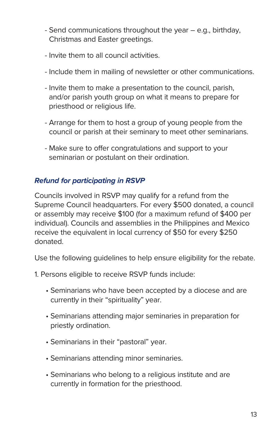- Send communications throughout the year e.g., birthday, Christmas and Easter greetings.
- Invite them to all council activities.
- Include them in mailing of newsletter or other communications.
- Invite them to make a presentation to the council, parish, and/or parish youth group on what it means to prepare for priesthood or religious life.
- Arrange for them to host a group of young people from the council or parish at their seminary to meet other seminarians.
- Make sure to offer congratulations and support to your seminarian or postulant on their ordination.

#### **Refund for participating in RSVP**

Councils involved in RSVP may qualify for a refund from the Supreme Council headquarters. For every \$500 donated, a council or assembly may receive \$100 (for a maximum refund of \$400 per individual). Councils and assemblies in the Philippines and Mexico receive the equivalent in local currency of \$50 for every \$250 donated.

Use the following guidelines to help ensure eligibility for the rebate.

- 1. Persons eligible to receive RSVP funds include:
	- Seminarians who have been accepted by a diocese and are currently in their "spirituality" year.
	- Seminarians attending major seminaries in preparation for priestly ordination.
	- Seminarians in their "pastoral" year.
	- Seminarians attending minor seminaries.
	- Seminarians who belong to a religious institute and are currently in formation for the priesthood.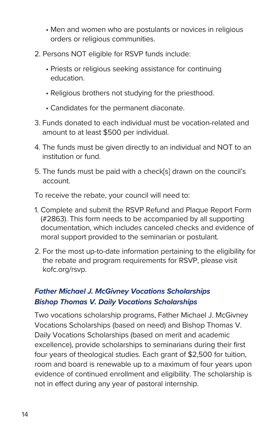- Men and women who are postulants or novices in religious orders or religious communities.
- 2. Persons NOT eligible for RSVP funds include:
	- Priests or religious seeking assistance for continuing education.
	- Religious brothers not studying for the priesthood.
	- Candidates for the permanent diaconate.
- 3. Funds donated to each individual must be vocation-related and amount to at least \$500 per individual.
- 4. The funds must be given directly to an individual and NOT to an institution or fund.
- 5. The funds must be paid with a check[s] drawn on the council's account.

To receive the rebate, your council will need to:

- 1. Complete and submit the RSVP Refund and Plaque Report Form (#2863). This form needs to be accompanied by all supporting documentation, which includes canceled checks and evidence of moral support provided to the seminarian or postulant.
- 2. For the most up-to-date information pertaining to the eligibility for the rebate and program requirements for RSVP, please visit kofc.org/rsvp.

#### **Father Michael J. McGivney Vocations Scholarships Bishop Thomas V. Daily Vocations Scholarships**

Two vocations scholarship programs, Father Michael J. McGivney Vocations Scholarships (based on need) and Bishop Thomas V. Daily Vocations Scholarships (based on merit and academic excellence), provide scholarships to seminarians during their first four years of theological studies. Each grant of \$2,500 for tuition, room and board is renewable up to a maximum of four years upon evidence of continued enrollment and eligibility. The scholarship is not in effect during any year of pastoral internship.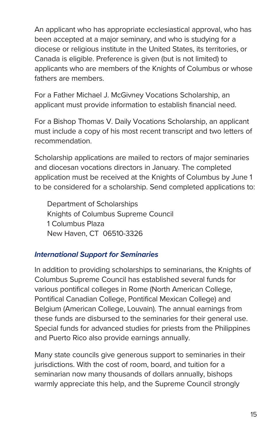An applicant who has appropriate ecclesiastical approval, who has been accepted at a major seminary, and who is studying for a diocese or religious institute in the United States, its territories, or Canada is eligible. Preference is given (but is not limited) to applicants who are members of the Knights of Columbus or whose fathers are members.

For a Father Michael J. McGivney Vocations Scholarship, an applicant must provide information to establish financial need.

For a Bishop Thomas V. Daily Vocations Scholarship, an applicant must include a copy of his most recent transcript and two letters of recommendation.

Scholarship applications are mailed to rectors of major seminaries and diocesan vocations directors in January. The completed application must be received at the Knights of Columbus by June 1 to be considered for a scholarship. Send completed applications to:

Department of Scholarships Knights of Columbus Supreme Council 1 Columbus Plaza New Haven, CT 06510-3326

#### **International Support for Seminaries**

In addition to providing scholarships to seminarians, the Knights of Columbus Supreme Council has established several funds for various pontifical colleges in Rome (North American College, Pontifical Canadian College, Pontifical Mexican College) and Belgium (American College, Louvain). The annual earnings from these funds are disbursed to the seminaries for their general use. Special funds for advanced studies for priests from the Philippines and Puerto Rico also provide earnings annually.

Many state councils give generous support to seminaries in their jurisdictions. With the cost of room, board, and tuition for a seminarian now many thousands of dollars annually, bishops warmly appreciate this help, and the Supreme Council strongly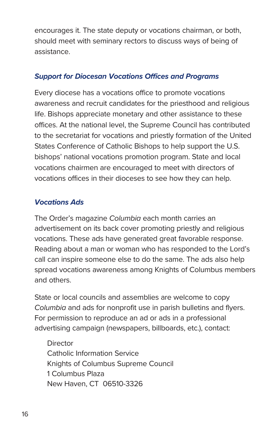encourages it. The state deputy or vocations chairman, or both, should meet with seminary rectors to discuss ways of being of assistance.

#### **Support for Diocesan Vocations Offices and Programs**

Every diocese has a vocations office to promote vocations awareness and recruit candidates for the priesthood and religious life. Bishops appreciate monetary and other assistance to these offices. At the national level, the Supreme Council has contributed to the secretariat for vocations and priestly formation of the United States Conference of Catholic Bishops to help support the U.S. bishops' national vocations promotion program. State and local vocations chairmen are encouraged to meet with directors of vocations offices in their dioceses to see how they can help.

#### **Vocations Ads**

The Order's magazine Columbia each month carries an advertisement on its back cover promoting priestly and religious vocations. These ads have generated great favorable response. Reading about a man or woman who has responded to the Lord's call can inspire someone else to do the same. The ads also help spread vocations awareness among Knights of Columbus members and others.

State or local councils and assemblies are welcome to copy Columbia and ads for nonprofit use in parish bulletins and flyers. For permission to reproduce an ad or ads in a professional advertising campaign (newspapers, billboards, etc.), contact:

**Director** Catholic Information Service Knights of Columbus Supreme Council 1 Columbus Plaza New Haven, CT 06510-3326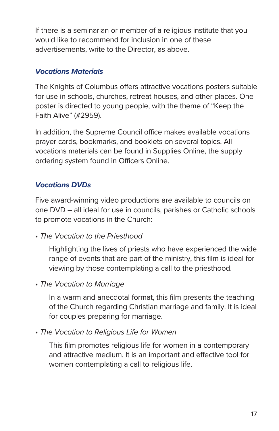If there is a seminarian or member of a religious institute that you would like to recommend for inclusion in one of these advertisements, write to the Director, as above.

#### **Vocations Materials**

The Knights of Columbus offers attractive vocations posters suitable for use in schools, churches, retreat houses, and other places. One poster is directed to young people, with the theme of "Keep the Faith Alive" (#2959).

In addition, the Supreme Council office makes available vocations prayer cards, bookmarks, and booklets on several topics. All vocations materials can be found in Supplies Online, the supply ordering system found in Officers Online.

#### **Vocations DVDs**

Five award-winning video productions are available to councils on one DVD – all ideal for use in councils, parishes or Catholic schools to promote vocations in the Church:

• The Vocation to the Priesthood

 Highlighting the lives of priests who have experienced the wide range of events that are part of the ministry, this film is ideal for viewing by those contemplating a call to the priesthood.

• The Vocation to Marriage

 In a warm and anecdotal format, this film presents the teaching of the Church regarding Christian marriage and family. It is ideal for couples preparing for marriage.

• The Vocation to Religious Life for Women

 This film promotes religious life for women in a contemporary and attractive medium. It is an important and effective tool for women contemplating a call to religious life.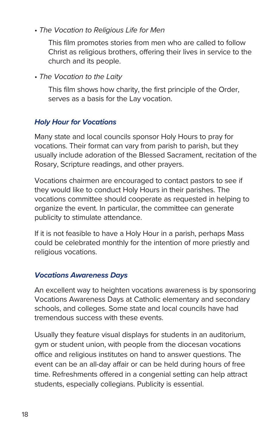• The Vocation to Religious Life for Men

 This film promotes stories from men who are called to follow Christ as religious brothers, offering their lives in service to the church and its people.

• The Vocation to the Laity

 This film shows how charity, the first principle of the Order, serves as a basis for the Lay vocation.

#### **Holy Hour for Vocations**

Many state and local councils sponsor Holy Hours to pray for vocations. Their format can vary from parish to parish, but they usually include adoration of the Blessed Sacrament, recitation of the Rosary, Scripture readings, and other prayers.

Vocations chairmen are encouraged to contact pastors to see if they would like to conduct Holy Hours in their parishes. The vocations committee should cooperate as requested in helping to organize the event. In particular, the committee can generate publicity to stimulate attendance.

If it is not feasible to have a Holy Hour in a parish, perhaps Mass could be celebrated monthly for the intention of more priestly and religious vocations.

#### **Vocations Awareness Days**

An excellent way to heighten vocations awareness is by sponsoring Vocations Awareness Days at Catholic elementary and secondary schools, and colleges. Some state and local councils have had tremendous success with these events.

Usually they feature visual displays for students in an auditorium, gym or student union, with people from the diocesan vocations office and religious institutes on hand to answer questions. The event can be an all-day affair or can be held during hours of free time. Refreshments offered in a congenial setting can help attract students, especially collegians. Publicity is essential.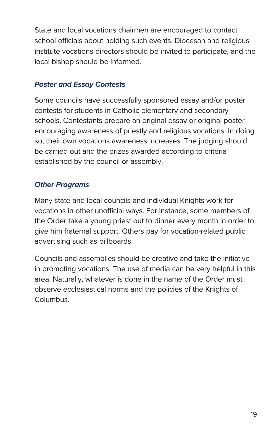State and local vocations chairmen are encouraged to contact school officials about holding such events. Diocesan and religious institute vocations directors should be invited to participate, and the local bishop should be informed.

#### **Poster and Essay Contests**

Some councils have successfully sponsored essay and/or poster contests for students in Catholic elementary and secondary schools. Contestants prepare an original essay or original poster encouraging awareness of priestly and religious vocations. In doing so, their own vocations awareness increases. The judging should be carried out and the prizes awarded according to criteria established by the council or assembly.

#### **Other Programs**

Many state and local councils and individual Knights work for vocations in other unofficial ways. For instance, some members of the Order take a young priest out to dinner every month in order to give him fraternal support. Others pay for vocation-related public advertising such as billboards.

Councils and assemblies should be creative and take the initiative in promoting vocations. The use of media can be very helpful in this area. Naturally, whatever is done in the name of the Order must observe ecclesiastical norms and the policies of the Knights of Columbus.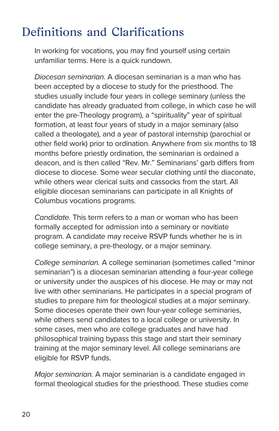## Definitions and Clarifications

In working for vocations, you may find yourself using certain unfamiliar terms. Here is a quick rundown.

Diocesan seminarian. A diocesan seminarian is a man who has been accepted by a diocese to study for the priesthood. The studies usually include four years in college seminary (unless the candidate has already graduated from college, in which case he will enter the pre-Theology program), a "spirituality" year of spiritual formation, at least four years of study in a major seminary (also called a theologate), and a year of pastoral internship (parochial or other field work) prior to ordination. Anywhere from six months to 18 months before priestly ordination, the seminarian is ordained a deacon, and is then called "Rev. Mr." Seminarians' garb differs from diocese to diocese. Some wear secular clothing until the diaconate, while others wear clerical suits and cassocks from the start. All eligible diocesan seminarians can participate in all Knights of Columbus vocations programs.

Candidate. This term refers to a man or woman who has been formally accepted for admission into a seminary or novitiate program. A candidate may receive RSVP funds whether he is in college seminary, a pre-theology, or a major seminary.

College seminarian. A college seminarian (sometimes called "minor seminarian") is a diocesan seminarian attending a four-year college or university under the auspices of his diocese. He may or may not live with other seminarians. He participates in a special program of studies to prepare him for theological studies at a major seminary. Some dioceses operate their own four-year college seminaries, while others send candidates to a local college or university. In some cases, men who are college graduates and have had philosophical training bypass this stage and start their seminary training at the major seminary level. All college seminarians are eligible for RSVP funds.

Major seminarian. A major seminarian is a candidate engaged in formal theological studies for the priesthood. These studies come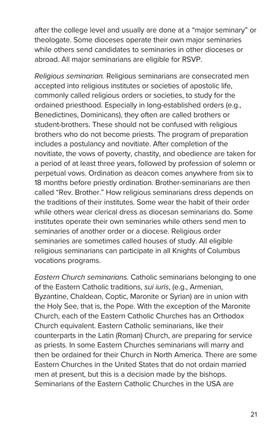after the college level and usually are done at a "major seminary" or theologate. Some dioceses operate their own major seminaries while others send candidates to seminaries in other dioceses or abroad. All major seminarians are eligible for RSVP.

Religious seminarian. Religious seminarians are consecrated men accepted into religious institutes or societies of apostolic life, commonly called religious orders or societies, to study for the ordained priesthood. Especially in long-established orders (e.g., Benedictines, Dominicans), they often are called brothers or student-brothers. These should not be confused with religious brothers who do not become priests. The program of preparation includes a postulancy and novitiate. After completion of the novitiate, the vows of poverty, chastity, and obedience are taken for a period of at least three years, followed by profession of solemn or perpetual vows. Ordination as deacon comes anywhere from six to 18 months before priestly ordination. Brother-seminarians are then called "Rev. Brother." How religious seminarians dress depends on the traditions of their institutes. Some wear the habit of their order while others wear clerical dress as diocesan seminarians do. Some institutes operate their own seminaries while others send men to seminaries of another order or a diocese. Religious order seminaries are sometimes called houses of study. All eligible religious seminarians can participate in all Knights of Columbus vocations programs.

Eastern Church seminarians. Catholic seminarians belonging to one of the Eastern Catholic traditions, sui iuris, (e.g., Armenian, Byzantine, Chaldean, Coptic, Maronite or Syrian) are in union with the Holy See, that is, the Pope. With the exception of the Maronite Church, each of the Eastern Catholic Churches has an Orthodox Church equivalent. Eastern Catholic seminarians, like their counterparts in the Latin (Roman) Church, are preparing for service as priests. In some Eastern Churches seminarians will marry and then be ordained for their Church in North America. There are some Eastern Churches in the United States that do not ordain married men at present, but this is a decision made by the bishops. Seminarians of the Eastern Catholic Churches in the USA are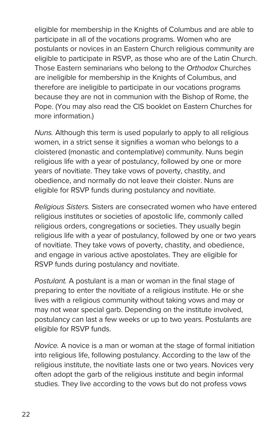eligible for membership in the Knights of Columbus and are able to participate in all of the vocations programs. Women who are postulants or novices in an Eastern Church religious community are eligible to participate in RSVP, as those who are of the Latin Church. Those Eastern seminarians who belong to the Orthodox Churches are ineligible for membership in the Knights of Columbus, and therefore are ineligible to participate in our vocations programs because they are not in communion with the Bishop of Rome, the Pope. (You may also read the CIS booklet on Eastern Churches for more information.)

Nuns. Although this term is used popularly to apply to all religious women, in a strict sense it signifies a woman who belongs to a cloistered (monastic and contemplative) community. Nuns begin religious life with a year of postulancy, followed by one or more years of novitiate. They take vows of poverty, chastity, and obedience, and normally do not leave their cloister. Nuns are eligible for RSVP funds during postulancy and novitiate.

Religious Sisters. Sisters are consecrated women who have entered religious institutes or societies of apostolic life, commonly called religious orders, congregations or societies. They usually begin religious life with a year of postulancy, followed by one or two years of novitiate. They take vows of poverty, chastity, and obedience, and engage in various active apostolates. They are eligible for RSVP funds during postulancy and novitiate.

Postulant. A postulant is a man or woman in the final stage of preparing to enter the novitiate of a religious institute. He or she lives with a religious community without taking vows and may or may not wear special garb. Depending on the institute involved, postulancy can last a few weeks or up to two years. Postulants are eligible for RSVP funds.

Novice. A novice is a man or woman at the stage of formal initiation into religious life, following postulancy. According to the law of the religious institute, the novitiate lasts one or two years. Novices very often adopt the garb of the religious institute and begin informal studies. They live according to the vows but do not profess vows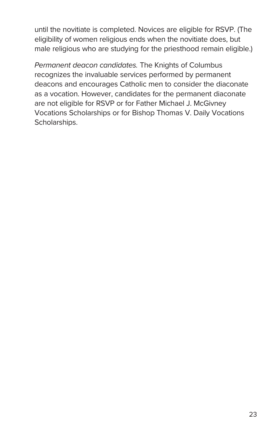until the novitiate is completed. Novices are eligible for RSVP. (The eligibility of women religious ends when the novitiate does, but male religious who are studying for the priesthood remain eligible.)

Permanent deacon candidates. The Knights of Columbus recognizes the invaluable services performed by permanent deacons and encourages Catholic men to consider the diaconate as a vocation. However, candidates for the permanent diaconate are not eligible for RSVP or for Father Michael J. McGivney Vocations Scholarships or for Bishop Thomas V. Daily Vocations Scholarships.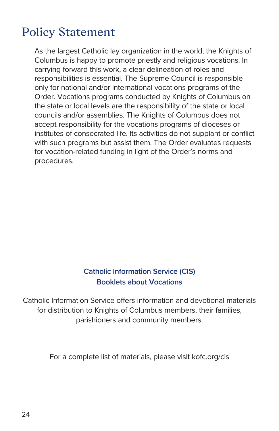## Policy Statement

As the largest Catholic lay organization in the world, the Knights of Columbus is happy to promote priestly and religious vocations. In carrying forward this work, a clear delineation of roles and responsibilities is essential. The Supreme Council is responsible only for national and/or international vocations programs of the Order. Vocations programs conducted by Knights of Columbus on the state or local levels are the responsibility of the state or local councils and/or assemblies. The Knights of Columbus does not accept responsibility for the vocations programs of dioceses or institutes of consecrated life. Its activities do not supplant or conflict with such programs but assist them. The Order evaluates requests for vocation-related funding in light of the Order's norms and procedures.

#### **Catholic Information Service (CIS) Booklets about Vocations**

Catholic Information Service offers information and devotional materials for distribution to Knights of Columbus members, their families, parishioners and community members.

For a complete list of materials, please visit kofc.org/cis